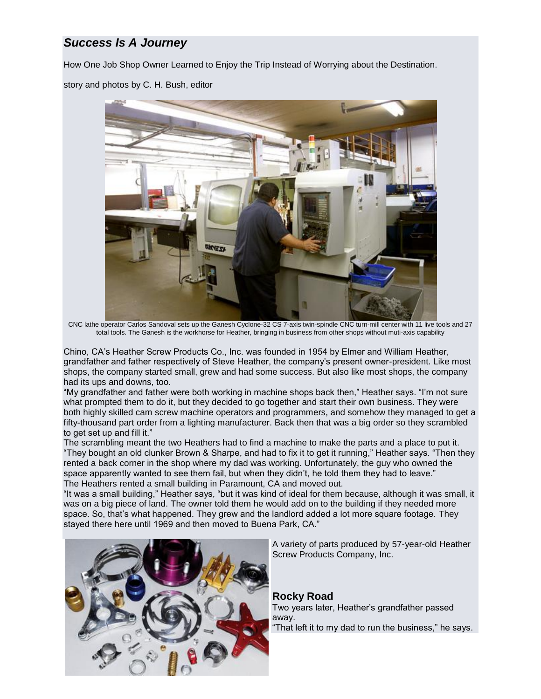# *Success Is A Journey*

How One Job Shop Owner Learned to Enjoy the Trip Instead of Worrying about the Destination.

story and photos by C. H. Bush, editor



CNC lathe operator Carlos Sandoval sets up the Ganesh Cyclone-32 CS 7-axis twin-spindle CNC turn-mill center with 11 live tools and 27 total tools. The Ganesh is the workhorse for Heather, bringing in business from other shops without muti-axis capability

Chino, CA's Heather Screw Products Co., Inc. was founded in 1954 by Elmer and William Heather, grandfather and father respectively of Steve Heather, the company's present owner-president. Like most shops, the company started small, grew and had some success. But also like most shops, the company had its ups and downs, too.

"My grandfather and father were both working in machine shops back then," Heather says. "I'm not sure what prompted them to do it, but they decided to go together and start their own business. They were both highly skilled cam screw machine operators and programmers, and somehow they managed to get a fifty-thousand part order from a lighting manufacturer. Back then that was a big order so they scrambled to get set up and fill it."

The scrambling meant the two Heathers had to find a machine to make the parts and a place to put it. "They bought an old clunker Brown & Sharpe, and had to fix it to get it running," Heather says. "Then they rented a back corner in the shop where my dad was working. Unfortunately, the guy who owned the space apparently wanted to see them fail, but when they didn't, he told them they had to leave." The Heathers rented a small building in Paramount, CA and moved out.

"It was a small building," Heather says, "but it was kind of ideal for them because, although it was small, it was on a big piece of land. The owner told them he would add on to the building if they needed more space. So, that's what happened. They grew and the landlord added a lot more square footage. They stayed there here until 1969 and then moved to Buena Park, CA."



A variety of parts produced by 57-year-old Heather Screw Products Company, Inc.

#### **Rocky Road**

Two years later, Heather's grandfather passed away. "That left it to my dad to run the business," he says.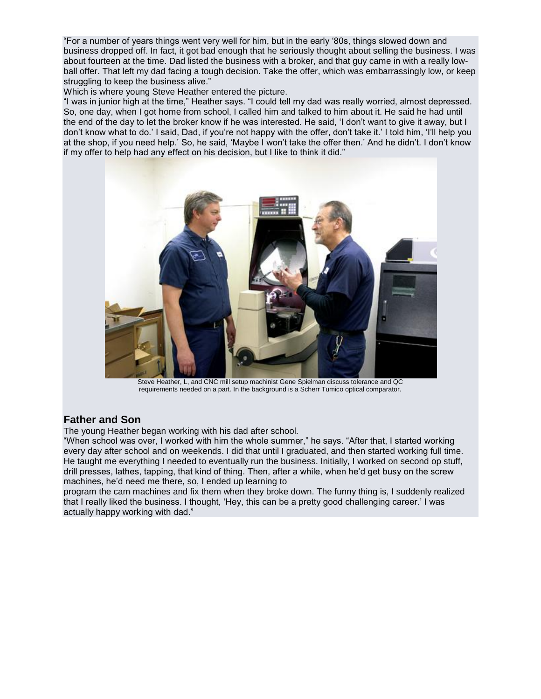"For a number of years things went very well for him, but in the early '80s, things slowed down and business dropped off. In fact, it got bad enough that he seriously thought about selling the business. I was about fourteen at the time. Dad listed the business with a broker, and that guy came in with a really lowball offer. That left my dad facing a tough decision. Take the offer, which was embarrassingly low, or keep struggling to keep the business alive."

Which is where young Steve Heather entered the picture.

"I was in junior high at the time," Heather says. "I could tell my dad was really worried, almost depressed. So, one day, when I got home from school, I called him and talked to him about it. He said he had until the end of the day to let the broker know if he was interested. He said, 'I don't want to give it away, but I don't know what to do.' I said, Dad, if you're not happy with the offer, don't take it.' I told him, 'I'll help you at the shop, if you need help.' So, he said, 'Maybe I won't take the offer then.' And he didn't. I don't know if my offer to help had any effect on his decision, but I like to think it did."



Steve Heather, L, and CNC mill setup machinist Gene Spielman discuss tolerance and QC requirements needed on a part. In the background is a Scherr Tumico optical comparator.

## **Father and Son**

The young Heather began working with his dad after school.

"When school was over, I worked with him the whole summer," he says. "After that, I started working every day after school and on weekends. I did that until I graduated, and then started working full time. He taught me everything I needed to eventually run the business. Initially, I worked on second op stuff, drill presses, lathes, tapping, that kind of thing. Then, after a while, when he'd get busy on the screw machines, he'd need me there, so, I ended up learning to

program the cam machines and fix them when they broke down. The funny thing is, I suddenly realized that I really liked the business. I thought, 'Hey, this can be a pretty good challenging career.' I was actually happy working with dad."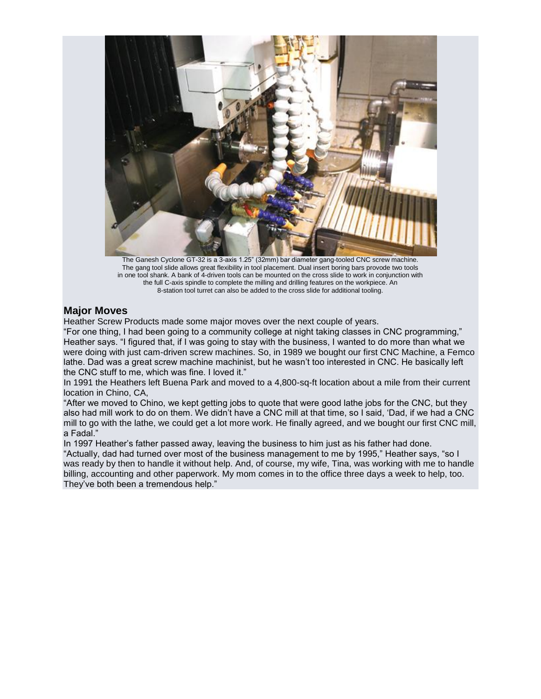

The Ganesh Cyclone GT-32 is a 3-axis 1.25" (32mm) bar diameter gang-tooled CNC screw machine. The gang tool slide allows great flexibility in tool placement. Dual insert boring bars provode two tools in one tool shank. A bank of 4-driven tools can be mounted on the cross slide to work in conjunction with the full C-axis spindle to complete the milling and drilling features on the workpiece. An 8-station tool turret can also be added to the cross slide for additional tooling.

#### **Major Moves**

Heather Screw Products made some major moves over the next couple of years.

"For one thing, I had been going to a community college at night taking classes in CNC programming," Heather says. "I figured that, if I was going to stay with the business, I wanted to do more than what we were doing with just cam-driven screw machines. So, in 1989 we bought our first CNC Machine, a Femco lathe. Dad was a great screw machine machinist, but he wasn't too interested in CNC. He basically left the CNC stuff to me, which was fine. I loved it."

In 1991 the Heathers left Buena Park and moved to a 4,800-sq-ft location about a mile from their current location in Chino, CA,

"After we moved to Chino, we kept getting jobs to quote that were good lathe jobs for the CNC, but they also had mill work to do on them. We didn't have a CNC mill at that time, so I said, 'Dad, if we had a CNC mill to go with the lathe, we could get a lot more work. He finally agreed, and we bought our first CNC mill, a Fadal."

In 1997 Heather's father passed away, leaving the business to him just as his father had done. "Actually, dad had turned over most of the business management to me by 1995," Heather says, "so I was ready by then to handle it without help. And, of course, my wife, Tina, was working with me to handle billing, accounting and other paperwork. My mom comes in to the office three days a week to help, too. They've both been a tremendous help."